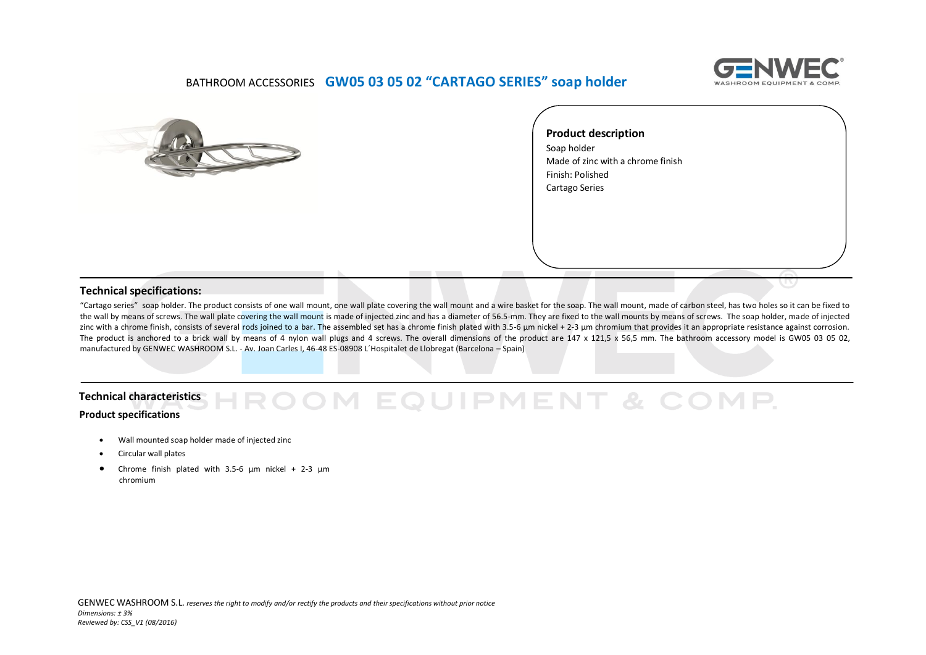

## BATHROOM ACCESSORIES **GW05 03 05 02 "CARTAGO SERIES" soap holder**



**Product description**  Soap holder Made of zinc with a chrome finish Finish: Polished Cartago Series

## **Technical specifications:**

"Cartago series" soap holder. The product consists of one wall mount, one wall plate covering the wall mount and a wire basket for the soap. The wall mount, made of carbon steel, has two holes so it can be fixed to the wall by means of screws. The wall plate covering the wall mount is made of injected zinc and has a diameter of 56.5-mm. They are fixed to the wall mounts by means of screws. The soap holder, made of injected zinc with a chrome finish, consists of several rods joined to a bar. The assembled set has a chrome finish plated with 3.5-6 µm nickel + 2-3 µm chromium that provides it an appropriate resistance against corrosion. The product is anchored to a brick wall by means of 4 nylon wall plugs and 4 screws. The overall dimensions of the product are 147 x 121.5 x 56.5 mm. The bathroom accessory model is GW05 03 05 02, manufactured by GENWEC WASHROOM S.L. ‐ Av. Joan Carles I, 46-48 ES-08908 L´Hospitalet de Llobregat (Barcelona – Spain)

## OM EQUIPMENT & COMP. **Technical characteristicsProduct specifications**

- Wall mounted soap holder made of injected zinc
- Circular wall plates
- Chrome finish plated with 3.5-6  $\mu$ m nickel + 2-3  $\mu$ m chromium